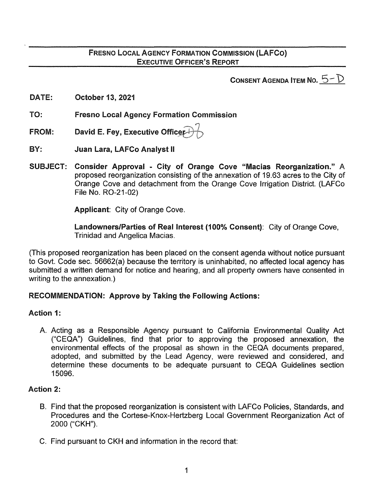## FRESNO LOCAL AGENCY FORMATION COMMISSION (LAFCo) EXECUTIVE OFFICER'S REPORT

CONSENT AGENDA ITEM NO.  $5-\mathcal{D}$ 

- DATE: October 13, 2021
- TO: Fresno Local Agency Formation Commission
- ,-..., FROM: David E. Fey, Executive Officer $\leftrightarrow\hspace{-3pt}\rightarrow\hspace{-3pt}\rightarrow$
- BY: Juan Lara, LAFCo Analyst II
- SUBJECT: Consider Approval City of Orange Cove "Macias Reorganization." A proposed reorganization consisting of the annexation of 19.63 acres to the City of Orange Cove and detachment from the Orange Cove Irrigation District. (LAFCo File No. R0-21-02)

Applicant: City of Orange Cove.

Landowners/Parties of Real Interest (100% Consent): City of Orange Cove, Trinidad and Angelica Macias.

(This proposed reorganization has been placed on the consent agenda without notice pursuant to Govt. Code sec. 56662(a) because the territory is uninhabited, no affected local agency has submitted a written demand for notice and hearing, and all property owners have consented in writing to the annexation.)

#### RECOMMENDATION: Approve by Taking the Following Actions:

### Action 1:

A. Acting as a Responsible Agency pursuant to California Environmental Quality Act ("CEQA") Guidelines, find that prior to approving the proposed annexation, the environmental effects of the proposal as shown in the CEQA documents prepared, adopted, and submitted by the Lead Agency, were reviewed and considered, and determine these documents to be adequate pursuant to CEQA Guidelines section 15096.

#### Action 2:

- B. Find that the proposed reorganization is consistent with LAFCo Policies, Standards, and Procedures and the Cortese-Knox-Hertzberg Local Government Reorganization Act of 2000 ("CKH").
- C. Find pursuant to CKH and information in the record that: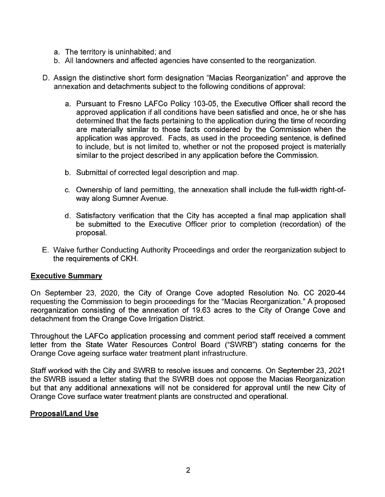- a. The territory is uninhabited; and
- b. All landowners and affected agencies have consented to the reorganization.
- D. Assign the distinctive short form designation "Macias Reorganization" and approve the annexation and detachments subject to the following conditions of approval:
	- a. Pursuant to Fresno LAFCo Policy 103-05, the Executive Officer shall record the approved application if all conditions have been satisfied and once, he or she has determined that the facts pertaining to the application during the time of recording are materially similar to those facts considered by the Commission when the application was approved. Facts, as used in the proceeding sentence, is defined to include, but is not limited to, whether or not the proposed project is materially similar to the project described in any application before the Commission.
	- b. Submittal of corrected legal description and map.
	- c. Ownership of land permitting, the annexation shall include the full-width right-ofway along Sumner Avenue.
	- d. Satisfactory verification that the City has accepted a final map application shall be submitted to the Executive Officer prior to completion (recordation) of the proposal.
- E. Waive further Conducting Authority Proceedings and order the reorganization subject to the requirements of CKH.

### Executive Summary

On September 23, 2020, the City of Orange Cove adopted Resolution No. CC 2020-44 requesting the Commission to begin proceedings for the "Macias Reorganization." A proposed reorganization consisting of the annexation of 19.63 acres to the City of Orange Cove and detachment from the Orange Cove Irrigation District.

Throughout the LAFCo application processing and comment period staff received a comment letter from the State Water Resources Control Board ("SWRB") stating concerns for the Orange Cove ageing surface water treatment plant infrastructure.

Staff worked with the City and SWRB to resolve issues and concerns. On September 23, 2021 the SWRB issued a letter stating that the SWRB does not oppose the Macias Reorganization but that any additional annexations will not be considered for approval until the new City of Orange Cove surface water treatment plants are constructed and operational.

### Proposal/Land Use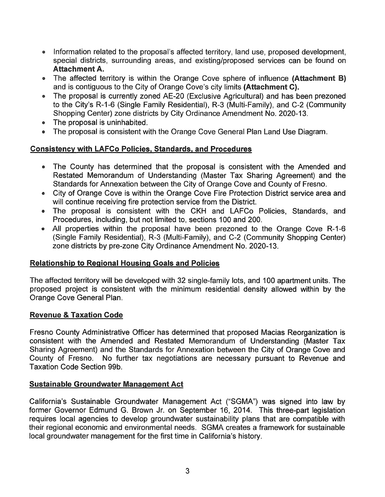- Information related to the proposal's affected territory, land use, proposed development, special districts, surrounding areas, and existing/proposed services can be found on Attachment A.
- The affected territory is within the Orange Cove sphere of influence (Attachment B) and is contiguous to the City of Orange Cove's city limits (Attachment C).
- The proposal is currently zoned AE-20 (Exclusive Agricultural) and has been prezoned to the City's R-1-6 (Single Family Residential), R-3 (Multi-Family), and C-2 (Community Shopping Center) zone districts by City Ordinance Amendment No. 2020-13.
- The proposal is uninhabited.
- The proposal is consistent with the Orange Cove General Plan Land Use Diagram.

### Consistency with LAFCo Policies, Standards, and Procedures

- The County has determined that the proposal is consistent with the Amended and Restated Memorandum of Understanding (Master Tax Sharing Agreement) and the Standards for Annexation between the City of Orange Cove and County of Fresno.
- City of Orange Cove is within the Orange Cove Fire Protection District service area and will continue receiving fire protection service from the District.
- The proposal is consistent with the CKH and LAFCo Policies, Standards, and Procedures, including, but not limited to, sections 100 and 200.
- All properties within the proposal have been prezoned to the Orange Cove R-1-6 (Single Family Residential}, R-3 (Multi-Family), and C-2 (Community Shopping Center) zone districts by pre-zone City Ordinance Amendment No. 2020-13.

### Relationship to Regional Housing Goals and Policies

The affected territory will be developed with 32 single-family lots, and 100 apartment units. The proposed project is consistent with the minimum residential density allowed within by the Orange Cove General Plan.

### Revenue & Taxation Code

Fresno County Administrative Officer has determined that proposed Macias Reorganization is consistent with the Amended and Restated Memorandum of Understanding (Master Tax Sharing Agreement) and the Standards for Annexation between the City of Orange Cove and County of Fresno. No further tax negotiations are necessary pursuant to Revenue and Taxation Code Section 99b.

### Sustainable Groundwater Management Act

California's Sustainable Groundwater Management Act ("SGMA") was signed into law by former Governor Edmund G. Brown Jr. on September 16, 2014. This three-part legislation requires local agencies to develop groundwater sustainability plans that are compatible with their regional economic and environmental needs. SGMA creates a framework for sustainable local groundwater management for the first time in California's history.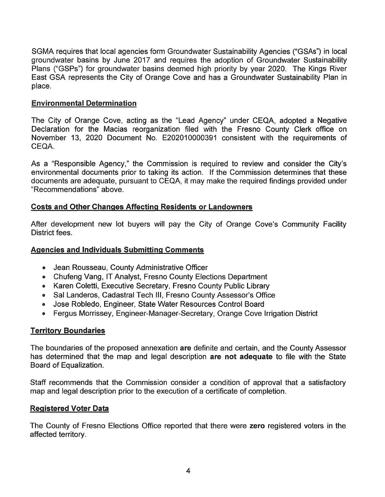SGMA requires that local agencies form Groundwater Sustainability Agencies ("GSAs") in local groundwater basins by June 2017 and requires the adoption of Groundwater Sustainability Plans ("GSPs") for groundwater basins deemed high priority by year 2020. The Kings River East GSA represents the City of Orange Cove and has a Groundwater Sustainability Plan in place.

### Environmental Determination

The City of Orange Cove, acting as the "Lead Agency" under CEQA, adopted a Negative Declaration for the Macias reorganization filed with the Fresno County Clerk office on November 13, 2020 Document No. E202010000391 consistent with the requirements of CEQA.

As a "Responsible Agency," the Commission is required to review and consider the City's environmental documents prior to taking its action. If the Commission determines that these documents are adequate, pursuant to CEQA, it may make the required findings provided under "Recommendations" above.

# Costs and Other Changes Affecting Residents or Landowners

After development new lot buyers will pay the City of Orange Cove's Community Facility District fees.

### Agencies and Individuals Submitting Comments

- Jean Rousseau, County Administrative Officer
- Chufeng Vang, IT Analyst, Fresno County Elections Department
- Karen Coletti, Executive Secretary, Fresno County Public Library
- Sal Landeros, Cadastral Tech Ill, Fresno County Assessor's Office
- Jose Robledo, Engineer, State Water Resources Control Board
- Fergus Morrissey, Engineer-Manager-Secretary, Orange Cove Irrigation District

# Territory Boundaries

The boundaries of the proposed annexation are definite and certain, and the County Assessor has determined that the map and legal description are not adequate to file with the State Board of Equalization.

Staff recommends that the Commission consider a condition of approval that a satisfactory map and legal description prior to the execution of a certificate of completion.

### Registered Voter Data

The County of Fresno Elections Office reported that there were zero registered voters in the affected territory.